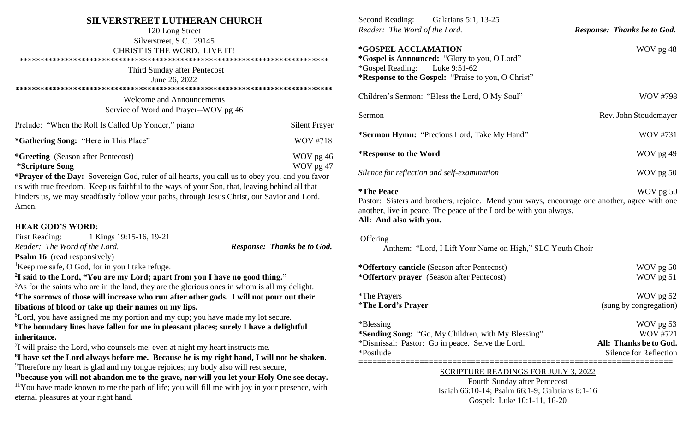## **SILVERSTREET LUTHERAN CHURCH**

| 120 Long Street<br>Silverstreet, S.C. 29145<br>CHRIST IS THE WORD. LIVE IT!                                                                                                                                                                                                                                                                                                                               |                      |  |
|-----------------------------------------------------------------------------------------------------------------------------------------------------------------------------------------------------------------------------------------------------------------------------------------------------------------------------------------------------------------------------------------------------------|----------------------|--|
| Third Sunday after Pentecost<br>June 26, 2022                                                                                                                                                                                                                                                                                                                                                             |                      |  |
| <b>Welcome and Announcements</b><br>Service of Word and Prayer--WOV pg 46                                                                                                                                                                                                                                                                                                                                 |                      |  |
| Prelude: "When the Roll Is Called Up Yonder," piano                                                                                                                                                                                                                                                                                                                                                       | <b>Silent Prayer</b> |  |
| <i>*Gathering Song: "Here in This Place"</i>                                                                                                                                                                                                                                                                                                                                                              | WOV #718             |  |
| <i>*Greeting (Season after Pentecost)</i><br>WOV pg 46<br>WOV pg 47<br><i>*Scripture Song</i><br>*Prayer of the Day: Sovereign God, ruler of all hearts, you call us to obey you, and you favor<br>us with true freedom. Keep us faithful to the ways of your Son, that, leaving behind all that<br>hinders us, we may steadfastly follow your paths, through Jesus Christ, our Savior and Lord.<br>Amen. |                      |  |
| <b>HEAR GOD'S WORD:</b>                                                                                                                                                                                                                                                                                                                                                                                   |                      |  |

## **HEAR GOD'S WORD:**

|                                                                                          | First Reading: 1 Kings 19:15-16, 19-21                      |                                    |  |  |
|------------------------------------------------------------------------------------------|-------------------------------------------------------------|------------------------------------|--|--|
| Reader: The Word of the Lord.                                                            |                                                             | <b>Response: Thanks be to God.</b> |  |  |
| <b>Psalm 16</b> (read responsively)                                                      |                                                             |                                    |  |  |
|                                                                                          | <sup>1</sup> Keep me safe, O God, for in you I take refuge. |                                    |  |  |
| <sup>2</sup> I said to the Lord, "You are my Lord; apart from you I have no good thing." |                                                             |                                    |  |  |

<sup>3</sup>As for the saints who are in the land, they are the glorious ones in whom is all my delight. **<sup>4</sup>The sorrows of those will increase who run after other gods. I will not pour out their libations of blood or take up their names on my lips.**

<sup>5</sup>Lord, you have assigned me my portion and my cup; you have made my lot secure.

**<sup>6</sup>The boundary lines have fallen for me in pleasant places; surely I have a delightful inheritance.**

 $7$ I will praise the Lord, who counsels me; even at night my heart instructs me.

**8 I have set the Lord always before me. Because he is my right hand, I will not be shaken.** <sup>9</sup>Therefore my heart is glad and my tongue rejoices; my body also will rest secure,

**<sup>10</sup>because you will not abandon me to the grave, nor will you let your Holy One see decay.**  $11$ You have made known to me the path of life; you will fill me with joy in your presence, with eternal pleasures at your right hand.

| Second Reading: Galatians 5:1, 13-25<br>Reader: The Word of the Lord.                                                                                                                                                                 | <b>Response: Thanks be to God.</b>                                               |  |
|---------------------------------------------------------------------------------------------------------------------------------------------------------------------------------------------------------------------------------------|----------------------------------------------------------------------------------|--|
| *GOSPEL ACCLAMATION<br>*Gospel is Announced: "Glory to you, O Lord"<br><i>*</i> Gospel Reading:<br>Luke 9:51-62<br>*Response to the Gospel: "Praise to you, O Christ"                                                                 | WOV pg 48                                                                        |  |
| Children's Sermon: "Bless the Lord, O My Soul"                                                                                                                                                                                        | <b>WOV #798</b>                                                                  |  |
| Sermon                                                                                                                                                                                                                                | Rev. John Stoudemayer                                                            |  |
| *Sermon Hymn: "Precious Lord, Take My Hand"                                                                                                                                                                                           | <b>WOV #731</b>                                                                  |  |
| *Response to the Word                                                                                                                                                                                                                 | WOV pg 49                                                                        |  |
| Silence for reflection and self-examination                                                                                                                                                                                           | WOV pg 50                                                                        |  |
| <i><b>*The Peace</b></i><br>WOV pg 50<br>Pastor: Sisters and brothers, rejoice. Mend your ways, encourage one another, agree with one<br>another, live in peace. The peace of the Lord be with you always.<br>All: And also with you. |                                                                                  |  |
| Offering<br>Anthem: "Lord, I Lift Your Name on High," SLC Youth Choir                                                                                                                                                                 |                                                                                  |  |
| *Offertory canticle (Season after Pentecost)<br>*Offertory prayer (Season after Pentecost)                                                                                                                                            | WOV pg 50<br>WOV pg 51                                                           |  |
| *The Prayers<br><i><b>*The Lord's Prayer</b></i>                                                                                                                                                                                      | WOV pg 52<br>(sung by congregation)                                              |  |
| *Blessing<br>*Sending Song: "Go, My Children, with My Blessing"<br>*Dismissal: Pastor: Go in peace. Serve the Lord.<br>*Postlude                                                                                                      | WOV pg 53<br>WOV #721<br>All: Thanks be to God.<br><b>Silence for Reflection</b> |  |
| SCRIPTURE READINGS FOR JULY 3, 2022<br>Fourth Sunday after Pentecost<br>Isaiah 66:10-14: Psalm 66:1-9: Galatians 6:1-16                                                                                                               |                                                                                  |  |

Gospel: Luke 10:1-11, 16-20